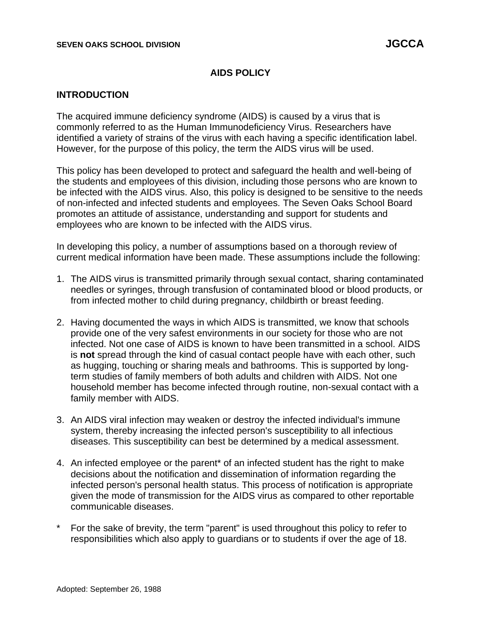## **AIDS POLICY**

### **INTRODUCTION**

The acquired immune deficiency syndrome (AIDS) is caused by a virus that is commonly referred to as the Human Immunodeficiency Virus. Researchers have identified a variety of strains of the virus with each having a specific identification label. However, for the purpose of this policy, the term the AIDS virus will be used.

This policy has been developed to protect and safeguard the health and well-being of the students and employees of this division, including those persons who are known to be infected with the AIDS virus. Also, this policy is designed to be sensitive to the needs of non-infected and infected students and employees. The Seven Oaks School Board promotes an attitude of assistance, understanding and support for students and employees who are known to be infected with the AIDS virus.

In developing this policy, a number of assumptions based on a thorough review of current medical information have been made. These assumptions include the following:

- 1. The AIDS virus is transmitted primarily through sexual contact, sharing contaminated needles or syringes, through transfusion of contaminated blood or blood products, or from infected mother to child during pregnancy, childbirth or breast feeding.
- 2. Having documented the ways in which AIDS is transmitted, we know that schools provide one of the very safest environments in our society for those who are not infected. Not one case of AIDS is known to have been transmitted in a school. AIDS is **not** spread through the kind of casual contact people have with each other, such as hugging, touching or sharing meals and bathrooms. This is supported by longterm studies of family members of both adults and children with AIDS. Not one household member has become infected through routine, non-sexual contact with a family member with AIDS.
- 3. An AIDS viral infection may weaken or destroy the infected individual's immune system, thereby increasing the infected person's susceptibility to all infectious diseases. This susceptibility can best be determined by a medical assessment.
- 4. An infected employee or the parent\* of an infected student has the right to make decisions about the notification and dissemination of information regarding the infected person's personal health status. This process of notification is appropriate given the mode of transmission for the AIDS virus as compared to other reportable communicable diseases.
- For the sake of brevity, the term "parent" is used throughout this policy to refer to responsibilities which also apply to guardians or to students if over the age of 18.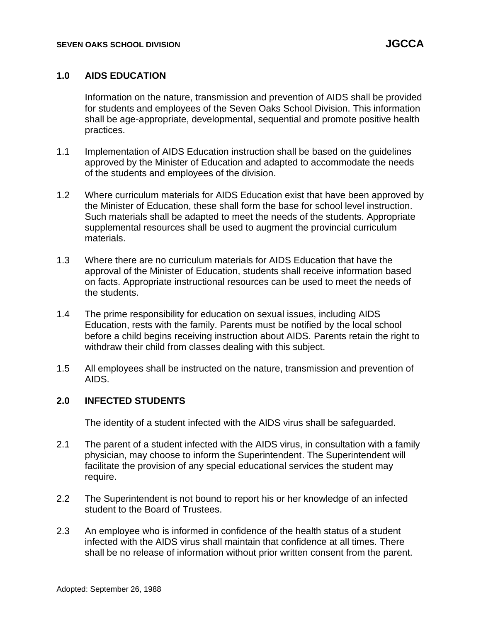## **1.0 AIDS EDUCATION**

Information on the nature, transmission and prevention of AIDS shall be provided for students and employees of the Seven Oaks School Division. This information shall be age-appropriate, developmental, sequential and promote positive health practices.

- 1.1 Implementation of AIDS Education instruction shall be based on the guidelines approved by the Minister of Education and adapted to accommodate the needs of the students and employees of the division.
- 1.2 Where curriculum materials for AIDS Education exist that have been approved by the Minister of Education, these shall form the base for school level instruction. Such materials shall be adapted to meet the needs of the students. Appropriate supplemental resources shall be used to augment the provincial curriculum materials.
- 1.3 Where there are no curriculum materials for AIDS Education that have the approval of the Minister of Education, students shall receive information based on facts. Appropriate instructional resources can be used to meet the needs of the students.
- 1.4 The prime responsibility for education on sexual issues, including AIDS Education, rests with the family. Parents must be notified by the local school before a child begins receiving instruction about AIDS. Parents retain the right to withdraw their child from classes dealing with this subject.
- 1.5 All employees shall be instructed on the nature, transmission and prevention of AIDS.

### **2.0 INFECTED STUDENTS**

The identity of a student infected with the AIDS virus shall be safeguarded.

- 2.1 The parent of a student infected with the AIDS virus, in consultation with a family physician, may choose to inform the Superintendent. The Superintendent will facilitate the provision of any special educational services the student may require.
- 2.2 The Superintendent is not bound to report his or her knowledge of an infected student to the Board of Trustees.
- 2.3 An employee who is informed in confidence of the health status of a student infected with the AIDS virus shall maintain that confidence at all times. There shall be no release of information without prior written consent from the parent.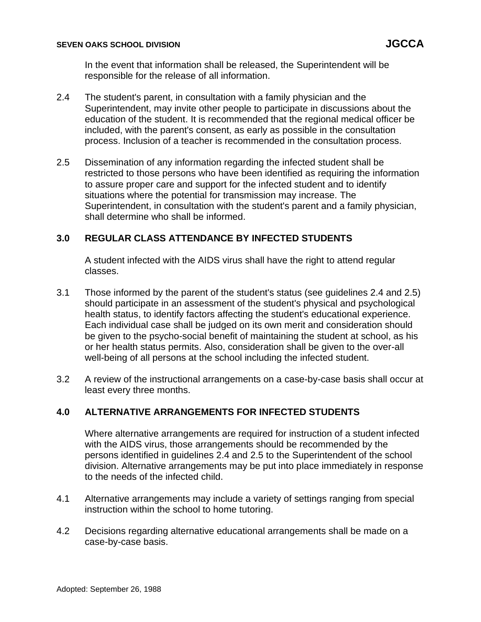In the event that information shall be released, the Superintendent will be responsible for the release of all information.

- 2.4 The student's parent, in consultation with a family physician and the Superintendent, may invite other people to participate in discussions about the education of the student. It is recommended that the regional medical officer be included, with the parent's consent, as early as possible in the consultation process. Inclusion of a teacher is recommended in the consultation process.
- 2.5 Dissemination of any information regarding the infected student shall be restricted to those persons who have been identified as requiring the information to assure proper care and support for the infected student and to identify situations where the potential for transmission may increase. The Superintendent, in consultation with the student's parent and a family physician, shall determine who shall be informed.

# **3.0 REGULAR CLASS ATTENDANCE BY INFECTED STUDENTS**

A student infected with the AIDS virus shall have the right to attend regular classes.

- 3.1 Those informed by the parent of the student's status (see guidelines 2.4 and 2.5) should participate in an assessment of the student's physical and psychological health status, to identify factors affecting the student's educational experience. Each individual case shall be judged on its own merit and consideration should be given to the psycho-social benefit of maintaining the student at school, as his or her health status permits. Also, consideration shall be given to the over-all well-being of all persons at the school including the infected student.
- 3.2 A review of the instructional arrangements on a case-by-case basis shall occur at least every three months.

# **4.0 ALTERNATIVE ARRANGEMENTS FOR INFECTED STUDENTS**

Where alternative arrangements are required for instruction of a student infected with the AIDS virus, those arrangements should be recommended by the persons identified in guidelines 2.4 and 2.5 to the Superintendent of the school division. Alternative arrangements may be put into place immediately in response to the needs of the infected child.

- 4.1 Alternative arrangements may include a variety of settings ranging from special instruction within the school to home tutoring.
- 4.2 Decisions regarding alternative educational arrangements shall be made on a case-by-case basis.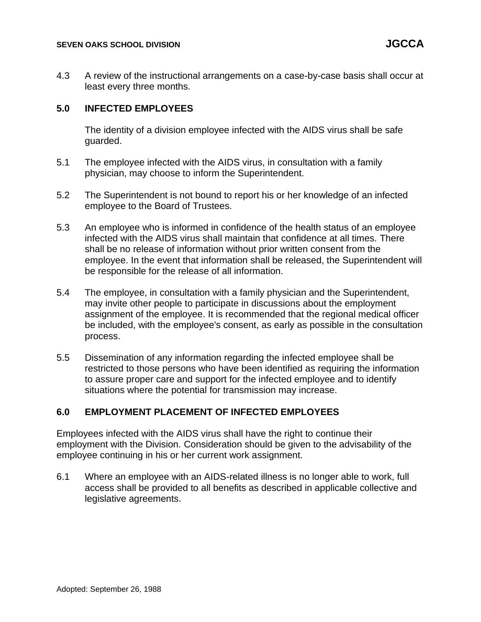4.3 A review of the instructional arrangements on a case-by-case basis shall occur at least every three months.

# **5.0 INFECTED EMPLOYEES**

The identity of a division employee infected with the AIDS virus shall be safe guarded.

- 5.1 The employee infected with the AIDS virus, in consultation with a family physician, may choose to inform the Superintendent.
- 5.2 The Superintendent is not bound to report his or her knowledge of an infected employee to the Board of Trustees.
- 5.3 An employee who is informed in confidence of the health status of an employee infected with the AIDS virus shall maintain that confidence at all times. There shall be no release of information without prior written consent from the employee. In the event that information shall be released, the Superintendent will be responsible for the release of all information.
- 5.4 The employee, in consultation with a family physician and the Superintendent, may invite other people to participate in discussions about the employment assignment of the employee. It is recommended that the regional medical officer be included, with the employee's consent, as early as possible in the consultation process.
- 5.5 Dissemination of any information regarding the infected employee shall be restricted to those persons who have been identified as requiring the information to assure proper care and support for the infected employee and to identify situations where the potential for transmission may increase.

# **6.0 EMPLOYMENT PLACEMENT OF INFECTED EMPLOYEES**

Employees infected with the AIDS virus shall have the right to continue their employment with the Division. Consideration should be given to the advisability of the employee continuing in his or her current work assignment.

6.1 Where an employee with an AIDS-related illness is no longer able to work, full access shall be provided to all benefits as described in applicable collective and legislative agreements.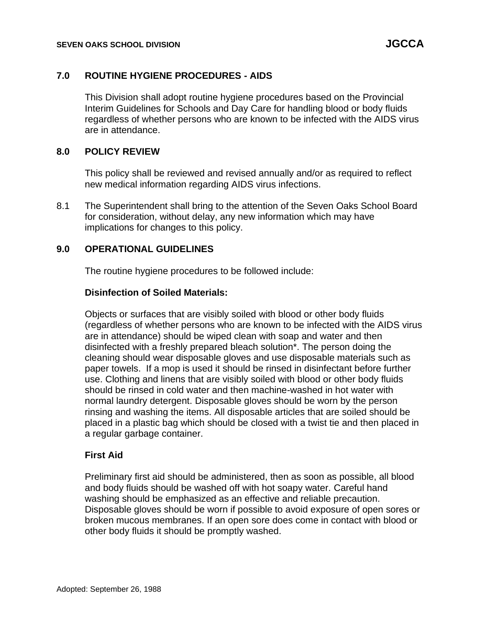## **7.0 ROUTINE HYGIENE PROCEDURES - AIDS**

This Division shall adopt routine hygiene procedures based on the Provincial Interim Guidelines for Schools and Day Care for handling blood or body fluids regardless of whether persons who are known to be infected with the AIDS virus are in attendance.

## **8.0 POLICY REVIEW**

This policy shall be reviewed and revised annually and/or as required to reflect new medical information regarding AIDS virus infections.

8.1 The Superintendent shall bring to the attention of the Seven Oaks School Board for consideration, without delay, any new information which may have implications for changes to this policy.

### **9.0 OPERATIONAL GUIDELINES**

The routine hygiene procedures to be followed include:

### **Disinfection of Soiled Materials:**

Objects or surfaces that are visibly soiled with blood or other body fluids (regardless of whether persons who are known to be infected with the AIDS virus are in attendance) should be wiped clean with soap and water and then disinfected with a freshly prepared bleach solution\*. The person doing the cleaning should wear disposable gloves and use disposable materials such as paper towels. If a mop is used it should be rinsed in disinfectant before further use. Clothing and linens that are visibly soiled with blood or other body fluids should be rinsed in cold water and then machine-washed in hot water with normal laundry detergent. Disposable gloves should be worn by the person rinsing and washing the items. All disposable articles that are soiled should be placed in a plastic bag which should be closed with a twist tie and then placed in a regular garbage container.

### **First Aid**

Preliminary first aid should be administered, then as soon as possible, all blood and body fluids should be washed off with hot soapy water. Careful hand washing should be emphasized as an effective and reliable precaution. Disposable gloves should be worn if possible to avoid exposure of open sores or broken mucous membranes. If an open sore does come in contact with blood or other body fluids it should be promptly washed.